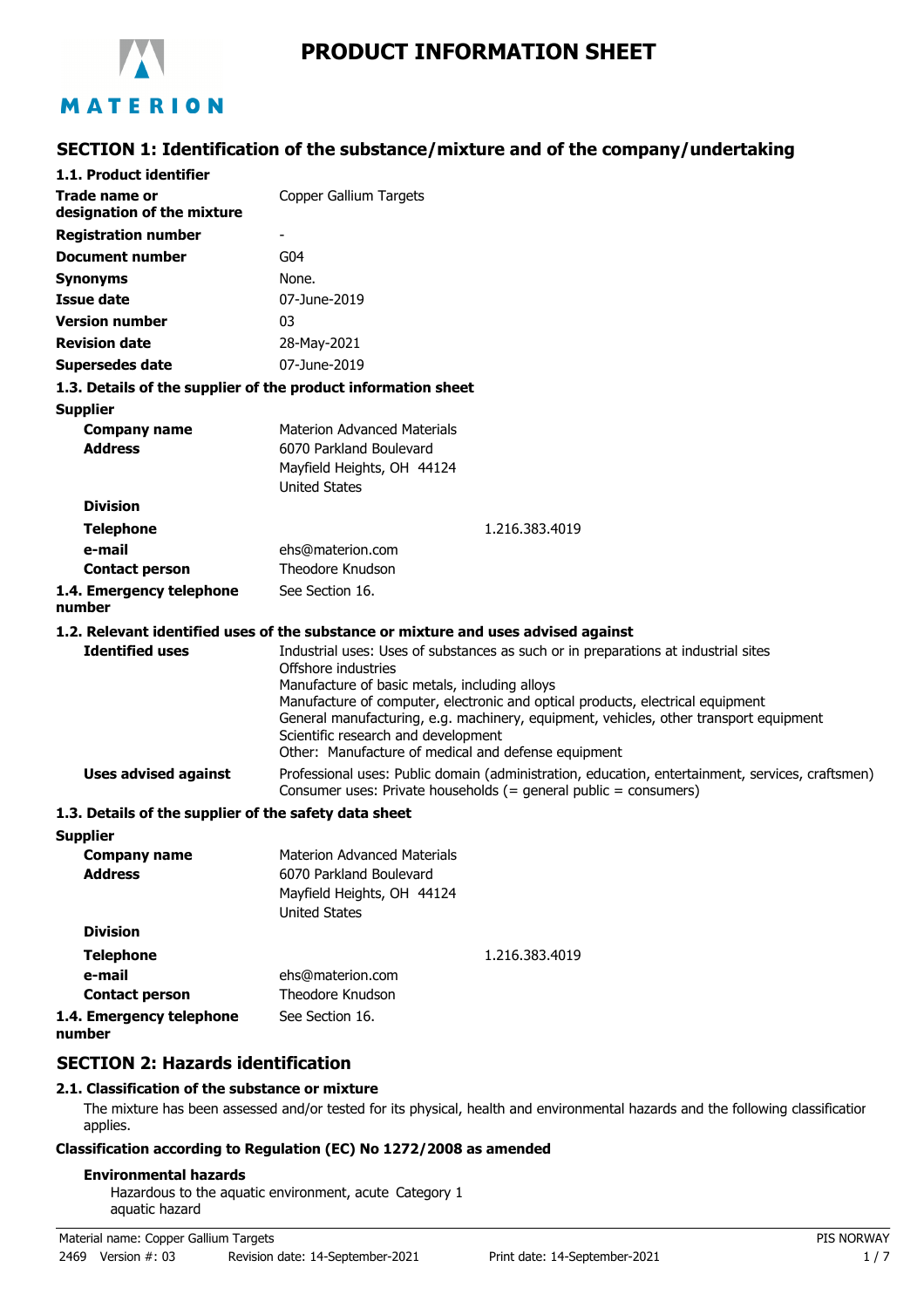

# **PRODUCT INFORMATION SHEET**

# **SECTION 1: Identification of the substance/mixture and of the company/undertaking**

| 1.1. Product identifier                               |                                                                                                                                                                                                                                                                                                                                                                                                                                     |
|-------------------------------------------------------|-------------------------------------------------------------------------------------------------------------------------------------------------------------------------------------------------------------------------------------------------------------------------------------------------------------------------------------------------------------------------------------------------------------------------------------|
| Trade name or<br>designation of the mixture           | Copper Gallium Targets                                                                                                                                                                                                                                                                                                                                                                                                              |
| <b>Registration number</b>                            |                                                                                                                                                                                                                                                                                                                                                                                                                                     |
| <b>Document number</b>                                | G <sub>04</sub>                                                                                                                                                                                                                                                                                                                                                                                                                     |
| <b>Synonyms</b>                                       | None.                                                                                                                                                                                                                                                                                                                                                                                                                               |
| <b>Issue date</b>                                     | 07-June-2019                                                                                                                                                                                                                                                                                                                                                                                                                        |
| <b>Version number</b>                                 | 03                                                                                                                                                                                                                                                                                                                                                                                                                                  |
| <b>Revision date</b>                                  | 28-May-2021                                                                                                                                                                                                                                                                                                                                                                                                                         |
| <b>Supersedes date</b>                                | 07-June-2019                                                                                                                                                                                                                                                                                                                                                                                                                        |
|                                                       | 1.3. Details of the supplier of the product information sheet                                                                                                                                                                                                                                                                                                                                                                       |
| <b>Supplier</b>                                       |                                                                                                                                                                                                                                                                                                                                                                                                                                     |
| <b>Company name</b>                                   | <b>Materion Advanced Materials</b>                                                                                                                                                                                                                                                                                                                                                                                                  |
| <b>Address</b>                                        | 6070 Parkland Boulevard                                                                                                                                                                                                                                                                                                                                                                                                             |
|                                                       | Mayfield Heights, OH 44124                                                                                                                                                                                                                                                                                                                                                                                                          |
| <b>Division</b>                                       | <b>United States</b>                                                                                                                                                                                                                                                                                                                                                                                                                |
|                                                       |                                                                                                                                                                                                                                                                                                                                                                                                                                     |
| <b>Telephone</b>                                      | 1.216.383.4019                                                                                                                                                                                                                                                                                                                                                                                                                      |
| e-mail                                                | ehs@materion.com<br>Theodore Knudson                                                                                                                                                                                                                                                                                                                                                                                                |
| <b>Contact person</b>                                 |                                                                                                                                                                                                                                                                                                                                                                                                                                     |
| 1.4. Emergency telephone<br>number                    | See Section 16.                                                                                                                                                                                                                                                                                                                                                                                                                     |
|                                                       | 1.2. Relevant identified uses of the substance or mixture and uses advised against                                                                                                                                                                                                                                                                                                                                                  |
| <b>Identified uses</b>                                | Industrial uses: Uses of substances as such or in preparations at industrial sites<br>Offshore industries<br>Manufacture of basic metals, including alloys<br>Manufacture of computer, electronic and optical products, electrical equipment<br>General manufacturing, e.g. machinery, equipment, vehicles, other transport equipment<br>Scientific research and development<br>Other: Manufacture of medical and defense equipment |
| <b>Uses advised against</b>                           | Professional uses: Public domain (administration, education, entertainment, services, craftsmen)<br>Consumer uses: Private households (= general public = consumers)                                                                                                                                                                                                                                                                |
| 1.3. Details of the supplier of the safety data sheet |                                                                                                                                                                                                                                                                                                                                                                                                                                     |
| <b>Supplier</b>                                       |                                                                                                                                                                                                                                                                                                                                                                                                                                     |
| <b>Company name</b><br><b>Address</b>                 | Materion Advanced Materials<br>6070 Parkland Boulevard<br>Mayfield Heights, OH 44124<br><b>United States</b>                                                                                                                                                                                                                                                                                                                        |
| <b>Division</b>                                       |                                                                                                                                                                                                                                                                                                                                                                                                                                     |
| <b>Telephone</b>                                      | 1.216.383.4019                                                                                                                                                                                                                                                                                                                                                                                                                      |
| e-mail                                                | ehs@materion.com                                                                                                                                                                                                                                                                                                                                                                                                                    |
| <b>Contact person</b>                                 | Theodore Knudson                                                                                                                                                                                                                                                                                                                                                                                                                    |
| 1.4. Emergency telephone                              | See Section 16.                                                                                                                                                                                                                                                                                                                                                                                                                     |

**number**

## **SECTION 2: Hazards identification**

### **2.1. Classification of the substance or mixture**

The mixture has been assessed and/or tested for its physical, health and environmental hazards and the following classification applies.

### **Classification according to Regulation (EC) No 1272/2008 as amended**

### **Environmental hazards**

Hazardous to the aquatic environment, acute Category 1 aquatic hazard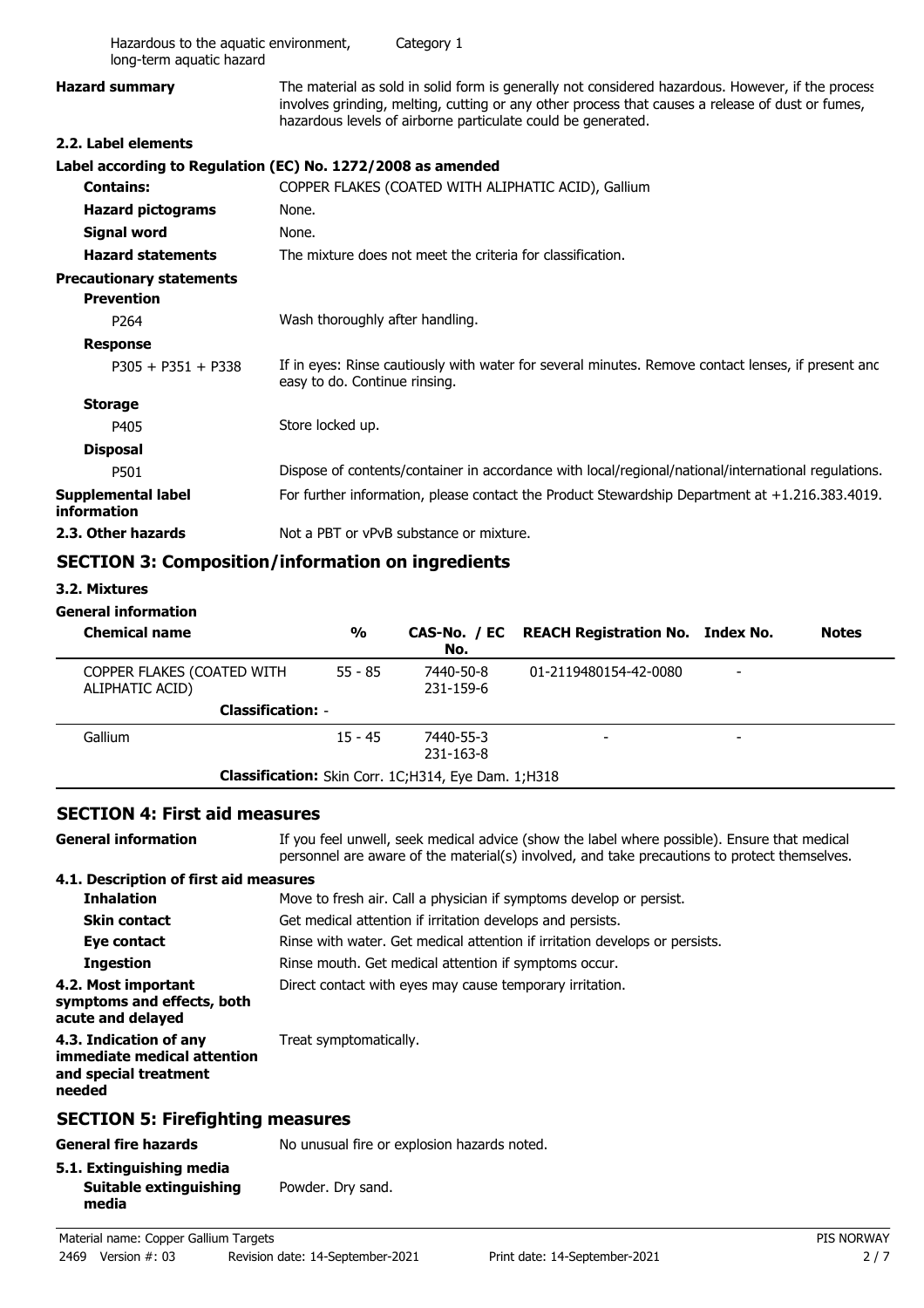| Hazardous to the aquatic environment,<br>long-term aquatic hazard |                                 | Category 1                                                 |                                                                                                                                                                                                                                                                       |              |
|-------------------------------------------------------------------|---------------------------------|------------------------------------------------------------|-----------------------------------------------------------------------------------------------------------------------------------------------------------------------------------------------------------------------------------------------------------------------|--------------|
| <b>Hazard summary</b>                                             |                                 |                                                            | The material as sold in solid form is generally not considered hazardous. However, if the process<br>involves grinding, melting, cutting or any other process that causes a release of dust or fumes,<br>hazardous levels of airborne particulate could be generated. |              |
| 2.2. Label elements                                               |                                 |                                                            |                                                                                                                                                                                                                                                                       |              |
| Label according to Regulation (EC) No. 1272/2008 as amended       |                                 |                                                            |                                                                                                                                                                                                                                                                       |              |
| <b>Contains:</b>                                                  |                                 |                                                            | COPPER FLAKES (COATED WITH ALIPHATIC ACID), Gallium                                                                                                                                                                                                                   |              |
| <b>Hazard pictograms</b>                                          | None.                           |                                                            |                                                                                                                                                                                                                                                                       |              |
| <b>Signal word</b>                                                | None.                           |                                                            |                                                                                                                                                                                                                                                                       |              |
| <b>Hazard statements</b>                                          |                                 | The mixture does not meet the criteria for classification. |                                                                                                                                                                                                                                                                       |              |
| <b>Precautionary statements</b><br><b>Prevention</b>              |                                 |                                                            |                                                                                                                                                                                                                                                                       |              |
| P264                                                              | Wash thoroughly after handling. |                                                            |                                                                                                                                                                                                                                                                       |              |
| <b>Response</b>                                                   |                                 |                                                            |                                                                                                                                                                                                                                                                       |              |
| $P305 + P351 + P338$                                              | easy to do. Continue rinsing.   |                                                            | If in eyes: Rinse cautiously with water for several minutes. Remove contact lenses, if present and                                                                                                                                                                    |              |
| <b>Storage</b>                                                    |                                 |                                                            |                                                                                                                                                                                                                                                                       |              |
| P405                                                              | Store locked up.                |                                                            |                                                                                                                                                                                                                                                                       |              |
| <b>Disposal</b>                                                   |                                 |                                                            |                                                                                                                                                                                                                                                                       |              |
| P501                                                              |                                 |                                                            | Dispose of contents/container in accordance with local/regional/national/international regulations.                                                                                                                                                                   |              |
| <b>Supplemental label</b><br>information                          |                                 |                                                            | For further information, please contact the Product Stewardship Department at +1.216.383.4019.                                                                                                                                                                        |              |
| 2.3. Other hazards                                                |                                 | Not a PBT or vPvB substance or mixture.                    |                                                                                                                                                                                                                                                                       |              |
| <b>SECTION 3: Composition/information on ingredients</b>          |                                 |                                                            |                                                                                                                                                                                                                                                                       |              |
| 3.2. Mixtures                                                     |                                 |                                                            |                                                                                                                                                                                                                                                                       |              |
| <b>General information</b>                                        |                                 |                                                            |                                                                                                                                                                                                                                                                       |              |
| <b>Chemical name</b>                                              | $\frac{0}{0}$                   | CAS-No. / EC<br>No.                                        | <b>REACH Registration No. Index No.</b>                                                                                                                                                                                                                               | <b>Notes</b> |
| COPPER FLAKES (COATED WITH<br>ALIPHATIC ACID)                     | $55 - 85$                       | 7440-50-8<br>231-159-6                                     | 01-2119480154-42-0080                                                                                                                                                                                                                                                 |              |
|                                                                   | <b>Classification: -</b>        |                                                            |                                                                                                                                                                                                                                                                       |              |
| Gallium                                                           | $15 - 45$                       | 7440-55-3                                                  |                                                                                                                                                                                                                                                                       |              |

### **SECTION 4: First aid measures**

If you feel unwell, seek medical advice (show the label where possible). Ensure that medical personnel are aware of the material(s) involved, and take precautions to protect themselves. **General information**

### **4.1. Description of first aid measures**

| <b>Inhalation</b>                                                                        | Move to fresh air. Call a physician if symptoms develop or persist.         |
|------------------------------------------------------------------------------------------|-----------------------------------------------------------------------------|
| <b>Skin contact</b>                                                                      | Get medical attention if irritation develops and persists.                  |
| Eye contact                                                                              | Rinse with water. Get medical attention if irritation develops or persists. |
| <b>Ingestion</b>                                                                         | Rinse mouth. Get medical attention if symptoms occur.                       |
| 4.2. Most important<br>symptoms and effects, both<br>acute and delayed                   | Direct contact with eyes may cause temporary irritation.                    |
| 4.3. Indication of any<br>immediate medical attention<br>and special treatment<br>needed | Treat symptomatically.                                                      |
| <b>SECTION 5: Firefighting measures</b>                                                  |                                                                             |
| <b>General fire hazards</b>                                                              | No unusual fire or explosion hazards noted.                                 |

**Classification:** Skin Corr. 1C;H314, Eye Dam. 1;H318

-Gallium -7440-55-3

231-163-8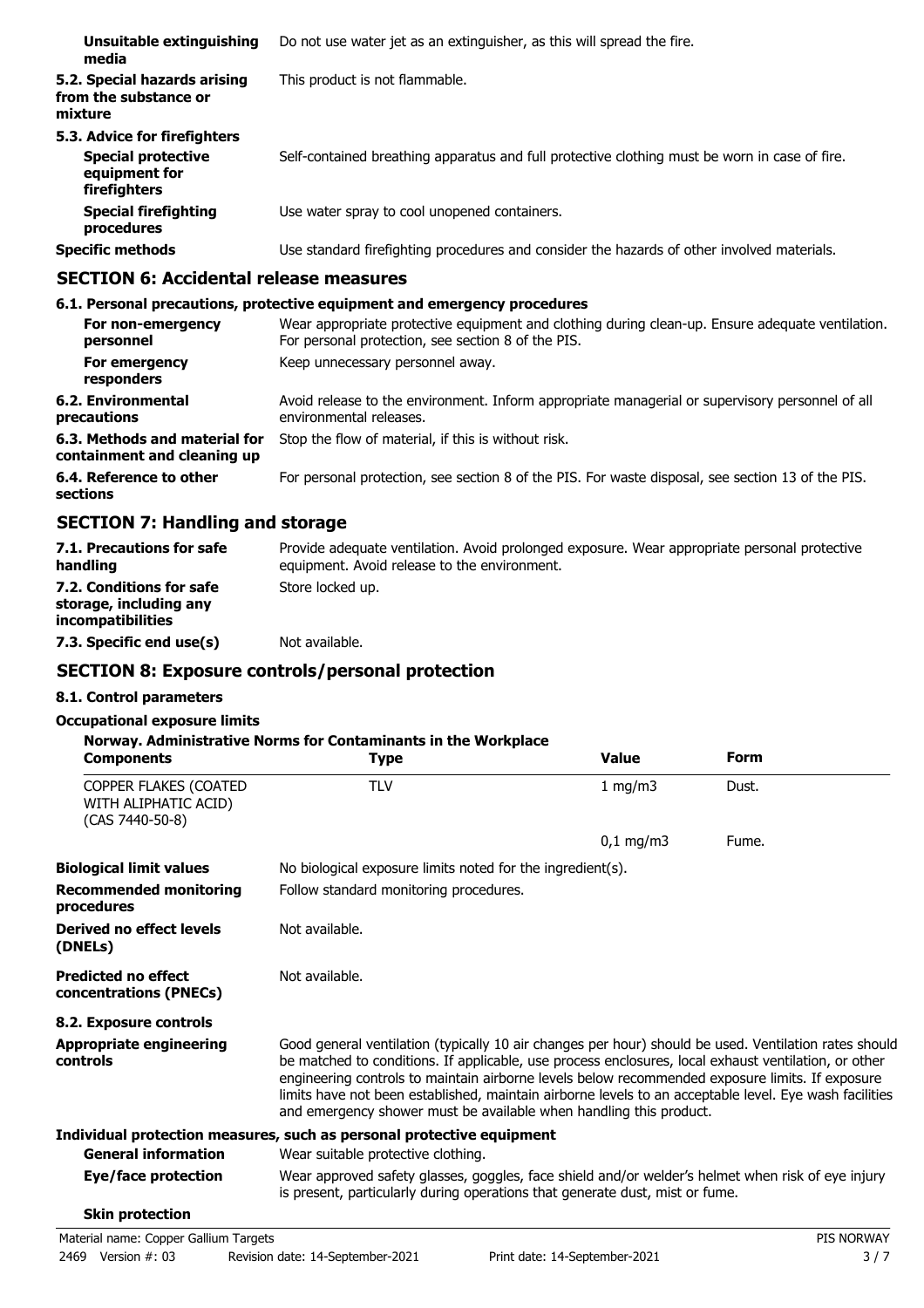| Unsuitable extinguishing<br>media                                                          | Do not use water jet as an extinguisher, as this will spread the fire.                        |
|--------------------------------------------------------------------------------------------|-----------------------------------------------------------------------------------------------|
| 5.2. Special hazards arising<br>from the substance or<br>mixture                           | This product is not flammable.                                                                |
| 5.3. Advice for firefighters<br><b>Special protective</b><br>equipment for<br>firefighters | Self-contained breathing apparatus and full protective clothing must be worn in case of fire. |
| <b>Special firefighting</b><br>procedures                                                  | Use water spray to cool unopened containers.                                                  |
| <b>Specific methods</b>                                                                    | Use standard firefighting procedures and consider the hazards of other involved materials.    |

### **SECTION 6: Accidental release measures**

#### **6.1. Personal precautions, protective equipment and emergency procedures** Wear appropriate protective equipment and clothing during clean-up. Ensure adequate ventilation. For personal protection, see section 8 of the PIS. **For non-emergency personnel For emergency** Keep unnecessary personnel away. **responders** Avoid release to the environment. Inform appropriate managerial or supervisory personnel of all environmental releases. **6.2. Environmental precautions 6.3. Methods and material for** Stop the flow of material, if this is without risk. **containment and cleaning up 6.4. Reference to other** For personal protection, see section 8 of the PIS. For waste disposal, see section 13 of the PIS. **sections**

## **SECTION 7: Handling and storage**

| 7.1. Precautions for safe<br>handling                                          | Provide adequate ventilation. Avoid prolonged exposure. Wear appropriate personal protective<br>equipment. Avoid release to the environment. |
|--------------------------------------------------------------------------------|----------------------------------------------------------------------------------------------------------------------------------------------|
| 7.2. Conditions for safe<br>storage, including any<br><i>incompatibilities</i> | Store locked up.                                                                                                                             |
| 7.3. Specific end use(s)                                                       | Not available.                                                                                                                               |

# **SECTION 8: Exposure controls/personal protection**

### **8.1. Control parameters**

### **Occupational exposure limits**

| <b>Components</b>                                                | Norway. Administrative Norms for Contaminants in the Workplace<br><b>Type</b>                                                                                                                                                                                                                                                                                                                                                                                                                    | <b>Value</b> | <b>Form</b> |
|------------------------------------------------------------------|--------------------------------------------------------------------------------------------------------------------------------------------------------------------------------------------------------------------------------------------------------------------------------------------------------------------------------------------------------------------------------------------------------------------------------------------------------------------------------------------------|--------------|-------------|
| COPPER FLAKES (COATED<br>WITH ALIPHATIC ACID)<br>(CAS 7440-50-8) | <b>TLV</b>                                                                                                                                                                                                                                                                                                                                                                                                                                                                                       | 1 mg/m $3$   | Dust.       |
|                                                                  |                                                                                                                                                                                                                                                                                                                                                                                                                                                                                                  | $0,1$ mg/m3  | Fume.       |
| <b>Biological limit values</b>                                   | No biological exposure limits noted for the ingredient(s).                                                                                                                                                                                                                                                                                                                                                                                                                                       |              |             |
| <b>Recommended monitoring</b><br>procedures                      | Follow standard monitoring procedures.                                                                                                                                                                                                                                                                                                                                                                                                                                                           |              |             |
| Derived no effect levels<br>(DNELs)                              | Not available.                                                                                                                                                                                                                                                                                                                                                                                                                                                                                   |              |             |
| <b>Predicted no effect</b><br>concentrations (PNECs)             | Not available.                                                                                                                                                                                                                                                                                                                                                                                                                                                                                   |              |             |
| 8.2. Exposure controls                                           |                                                                                                                                                                                                                                                                                                                                                                                                                                                                                                  |              |             |
| <b>Appropriate engineering</b><br>controls                       | Good general ventilation (typically 10 air changes per hour) should be used. Ventilation rates should<br>be matched to conditions. If applicable, use process enclosures, local exhaust ventilation, or other<br>engineering controls to maintain airborne levels below recommended exposure limits. If exposure<br>limits have not been established, maintain airborne levels to an acceptable level. Eye wash facilities<br>and emergency shower must be available when handling this product. |              |             |
|                                                                  | Individual protection measures, such as personal protective equipment                                                                                                                                                                                                                                                                                                                                                                                                                            |              |             |
| <b>General information</b>                                       | Wear suitable protective clothing.                                                                                                                                                                                                                                                                                                                                                                                                                                                               |              |             |
| Eye/face protection                                              | Wear approved safety glasses, goggles, face shield and/or welder's helmet when risk of eye injury<br>is present, particularly during operations that generate dust, mist or fume.                                                                                                                                                                                                                                                                                                                |              |             |
| <b>Skin protection</b>                                           |                                                                                                                                                                                                                                                                                                                                                                                                                                                                                                  |              |             |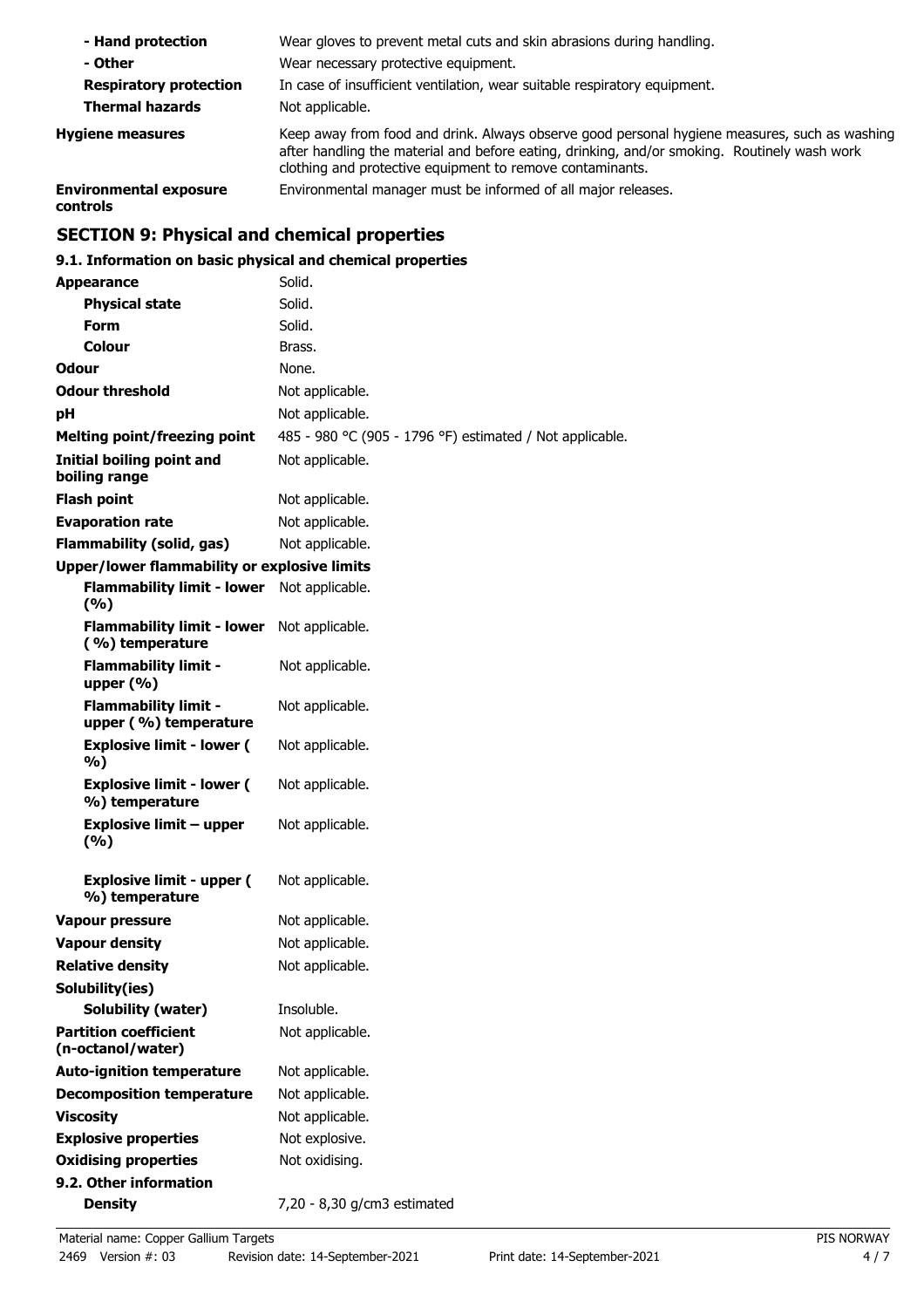| - Hand protection                         | Wear gloves to prevent metal cuts and skin abrasions during handling.                                                                                                                                                                                      |
|-------------------------------------------|------------------------------------------------------------------------------------------------------------------------------------------------------------------------------------------------------------------------------------------------------------|
| - Other                                   | Wear necessary protective equipment.                                                                                                                                                                                                                       |
| <b>Respiratory protection</b>             | In case of insufficient ventilation, wear suitable respiratory equipment.                                                                                                                                                                                  |
| <b>Thermal hazards</b>                    | Not applicable.                                                                                                                                                                                                                                            |
| <b>Hygiene measures</b>                   | Keep away from food and drink. Always observe good personal hygiene measures, such as washing<br>after handling the material and before eating, drinking, and/or smoking. Routinely wash work<br>clothing and protective equipment to remove contaminants. |
| <b>Environmental exposure</b><br>controls | Environmental manager must be informed of all major releases.                                                                                                                                                                                              |

# **SECTION 9: Physical and chemical properties**

# **9.1. Information on basic physical and chemical properties**

| <b>Appearance</b>                                    | Solid.                                                   |
|------------------------------------------------------|----------------------------------------------------------|
| <b>Physical state</b>                                | Solid.                                                   |
| <b>Form</b>                                          | Solid.                                                   |
| Colour                                               | Brass.                                                   |
| <b>Odour</b>                                         | None.                                                    |
| <b>Odour threshold</b>                               | Not applicable.                                          |
| рH                                                   | Not applicable.                                          |
| <b>Melting point/freezing point</b>                  | 485 - 980 °C (905 - 1796 °F) estimated / Not applicable. |
| <b>Initial boiling point and</b><br>boiling range    | Not applicable.                                          |
| <b>Flash point</b>                                   | Not applicable.                                          |
| <b>Evaporation rate</b>                              | Not applicable.                                          |
| <b>Flammability (solid, gas)</b>                     | Not applicable.                                          |
| <b>Upper/lower flammability or explosive limits</b>  |                                                          |
| <b>Flammability limit - lower</b><br>(%)             | Not applicable.                                          |
| <b>Flammability limit - lower</b><br>(%) temperature | Not applicable.                                          |
| <b>Flammability limit -</b><br>upper $(\% )$         | Not applicable.                                          |
| <b>Flammability limit -</b><br>upper (%) temperature | Not applicable.                                          |
| <b>Explosive limit - lower (</b><br>%)               | Not applicable.                                          |
| <b>Explosive limit - lower (</b><br>%) temperature   | Not applicable.                                          |
| <b>Explosive limit - upper</b><br>(%)                | Not applicable.                                          |
| <b>Explosive limit - upper (</b><br>%) temperature   | Not applicable.                                          |
| <b>Vapour pressure</b>                               | Not applicable.                                          |
| <b>Vapour density</b>                                | Not applicable.                                          |
| <b>Relative density</b>                              | Not applicable.                                          |
| Solubility(ies)                                      |                                                          |
| <b>Solubility (water)</b>                            | Insoluble.                                               |
| <b>Partition coefficient</b><br>(n-octanol/water)    | Not applicable.                                          |
| <b>Auto-ignition temperature</b>                     | Not applicable.                                          |
| <b>Decomposition temperature</b>                     | Not applicable.                                          |
| <b>Viscosity</b>                                     | Not applicable.                                          |
| <b>Explosive properties</b>                          | Not explosive.                                           |
| <b>Oxidising properties</b>                          | Not oxidising.                                           |
| 9.2. Other information                               |                                                          |
| <b>Density</b>                                       | 7,20 - 8,30 g/cm3 estimated                              |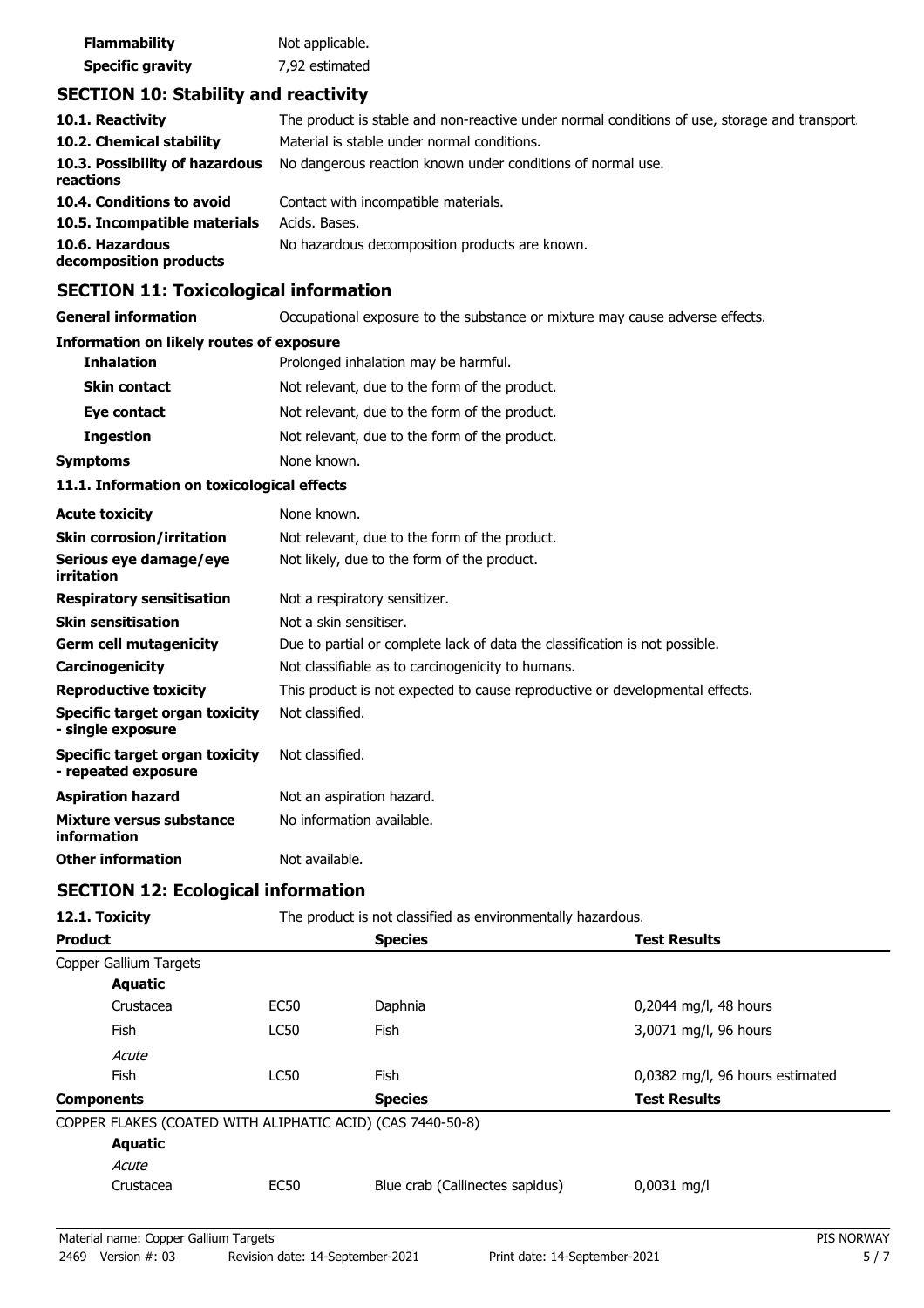| <b>Flammability</b>     | Not applicable. |
|-------------------------|-----------------|
| <b>Specific gravity</b> | 7,92 estimated  |

# **SECTION 10: Stability and reactivity**

| 10.1. Reactivity                            | The product is stable and non-reactive under normal conditions of use, storage and transport. |
|---------------------------------------------|-----------------------------------------------------------------------------------------------|
| 10.2. Chemical stability                    | Material is stable under normal conditions.                                                   |
| 10.3. Possibility of hazardous<br>reactions | No dangerous reaction known under conditions of normal use.                                   |
| 10.4. Conditions to avoid                   | Contact with incompatible materials.                                                          |
| 10.5. Incompatible materials                | Acids. Bases.                                                                                 |
| 10.6. Hazardous<br>decomposition products   | No hazardous decomposition products are known.                                                |

# **SECTION 11: Toxicological information**

**General information CCCUPATION** Occupational exposure to the substance or mixture may cause adverse effects.

### **Information on likely routes of exposure**

| <b>Inhalation</b>   | Prolonged inhalation may be harmful.          |  |
|---------------------|-----------------------------------------------|--|
| <b>Skin contact</b> | Not relevant, due to the form of the product. |  |
| Eye contact         | Not relevant, due to the form of the product. |  |
| <b>Ingestion</b>    | Not relevant, due to the form of the product. |  |
| Symptoms            | None known.                                   |  |

### **11.1. Information on toxicological effects**

| <b>Acute toxicity</b>                                 | None known.                                                                  |
|-------------------------------------------------------|------------------------------------------------------------------------------|
| <b>Skin corrosion/irritation</b>                      | Not relevant, due to the form of the product.                                |
| Serious eye damage/eye<br>irritation                  | Not likely, due to the form of the product.                                  |
| <b>Respiratory sensitisation</b>                      | Not a respiratory sensitizer.                                                |
| <b>Skin sensitisation</b>                             | Not a skin sensitiser.                                                       |
| <b>Germ cell mutagenicity</b>                         | Due to partial or complete lack of data the classification is not possible.  |
| Carcinogenicity                                       | Not classifiable as to carcinogenicity to humans.                            |
| <b>Reproductive toxicity</b>                          | This product is not expected to cause reproductive or developmental effects. |
| Specific target organ toxicity<br>- single exposure   | Not classified.                                                              |
| Specific target organ toxicity<br>- repeated exposure | Not classified.                                                              |
| <b>Aspiration hazard</b>                              | Not an aspiration hazard.                                                    |
| Mixture versus substance<br>information               | No information available.                                                    |
| <b>Other information</b>                              | Not available.                                                               |

### **SECTION 12: Ecological information**

| 12.1. Toxicity                                             |             | The product is not classified as environmentally hazardous. |                                 |  |
|------------------------------------------------------------|-------------|-------------------------------------------------------------|---------------------------------|--|
| <b>Product</b>                                             |             | <b>Species</b>                                              | <b>Test Results</b>             |  |
| Copper Gallium Targets                                     |             |                                                             |                                 |  |
| <b>Aquatic</b>                                             |             |                                                             |                                 |  |
| Crustacea                                                  | <b>EC50</b> | Daphnia                                                     | 0,2044 mg/l, 48 hours           |  |
| <b>Fish</b>                                                | <b>LC50</b> | <b>Fish</b>                                                 | 3,0071 mg/l, 96 hours           |  |
| Acute                                                      |             |                                                             |                                 |  |
| Fish                                                       | <b>LC50</b> | <b>Fish</b>                                                 | 0,0382 mg/l, 96 hours estimated |  |
| <b>Components</b>                                          |             | <b>Species</b>                                              | <b>Test Results</b>             |  |
| COPPER FLAKES (COATED WITH ALIPHATIC ACID) (CAS 7440-50-8) |             |                                                             |                                 |  |
| <b>Aquatic</b>                                             |             |                                                             |                                 |  |
| Acute                                                      |             |                                                             |                                 |  |
| Crustacea                                                  | EC50        | Blue crab (Callinectes sapidus)                             | $0,0031$ mg/l                   |  |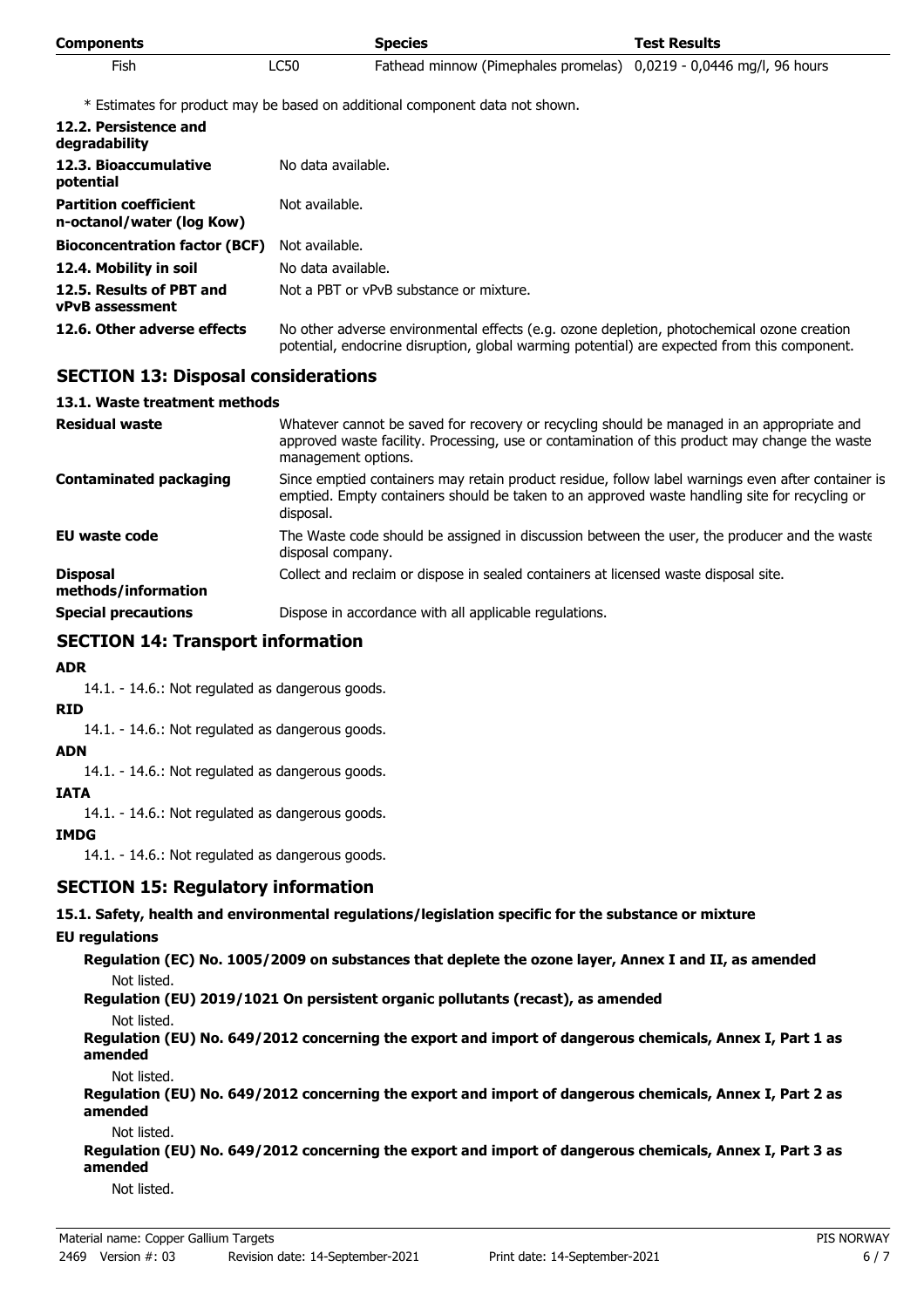| <b>Components</b> |                  | <b>Species</b>                                                      | <b>Test Results</b> |
|-------------------|------------------|---------------------------------------------------------------------|---------------------|
| Fish              | $\mathsf{L}$ C50 | Fathead minnow (Pimephales promelas) 0,0219 - 0,0446 mg/l, 96 hours |                     |

\* Estimates for product may be based on additional component data not shown.

| 12.2. Persistence and<br>degradability                    |                                                                                                                                                                                            |  |
|-----------------------------------------------------------|--------------------------------------------------------------------------------------------------------------------------------------------------------------------------------------------|--|
| 12.3. Bioaccumulative<br>potential                        | No data available.                                                                                                                                                                         |  |
| <b>Partition coefficient</b><br>n-octanol/water (log Kow) | Not available.                                                                                                                                                                             |  |
| <b>Bioconcentration factor (BCF)</b>                      | Not available.                                                                                                                                                                             |  |
| 12.4. Mobility in soil                                    | No data available.                                                                                                                                                                         |  |
| 12.5. Results of PBT and<br><b>vPvB</b> assessment        | Not a PBT or vPvB substance or mixture.                                                                                                                                                    |  |
| 12.6. Other adverse effects                               | No other adverse environmental effects (e.g. ozone depletion, photochemical ozone creation<br>potential, endocrine disruption, global warming potential) are expected from this component. |  |

### **SECTION 13: Disposal considerations**

### **13.1. Waste treatment methods**

| <b>Residual waste</b>                  | Whatever cannot be saved for recovery or recycling should be managed in an appropriate and<br>approved waste facility. Processing, use or contamination of this product may change the waste<br>management options. |  |
|----------------------------------------|---------------------------------------------------------------------------------------------------------------------------------------------------------------------------------------------------------------------|--|
| <b>Contaminated packaging</b>          | Since emptied containers may retain product residue, follow label warnings even after container is<br>emptied. Empty containers should be taken to an approved waste handling site for recycling or<br>disposal.    |  |
| <b>EU waste code</b>                   | The Waste code should be assigned in discussion between the user, the producer and the waste<br>disposal company.                                                                                                   |  |
| <b>Disposal</b><br>methods/information | Collect and reclaim or dispose in sealed containers at licensed waste disposal site.                                                                                                                                |  |
| <b>Special precautions</b>             | Dispose in accordance with all applicable regulations.                                                                                                                                                              |  |

### **SECTION 14: Transport information**

### **ADR**

14.1. - 14.6.: Not regulated as dangerous goods.

### **RID**

14.1. - 14.6.: Not regulated as dangerous goods.

#### **ADN**

14.1. - 14.6.: Not regulated as dangerous goods.

### **IATA**

14.1. - 14.6.: Not regulated as dangerous goods.

### **IMDG**

14.1. - 14.6.: Not regulated as dangerous goods.

### **SECTION 15: Regulatory information**

### **15.1. Safety, health and environmental regulations/legislation specific for the substance or mixture**

### **EU regulations**

**Regulation (EC) No. 1005/2009 on substances that deplete the ozone layer, Annex I and II, as amended** Not listed.

**Regulation (EU) 2019/1021 On persistent organic pollutants (recast), as amended**

Not listed.

**Regulation (EU) No. 649/2012 concerning the export and import of dangerous chemicals, Annex I, Part 1 as amended**

Not listed.

**Regulation (EU) No. 649/2012 concerning the export and import of dangerous chemicals, Annex I, Part 2 as amended**

Not listed.

**Regulation (EU) No. 649/2012 concerning the export and import of dangerous chemicals, Annex I, Part 3 as amended**

Not listed.